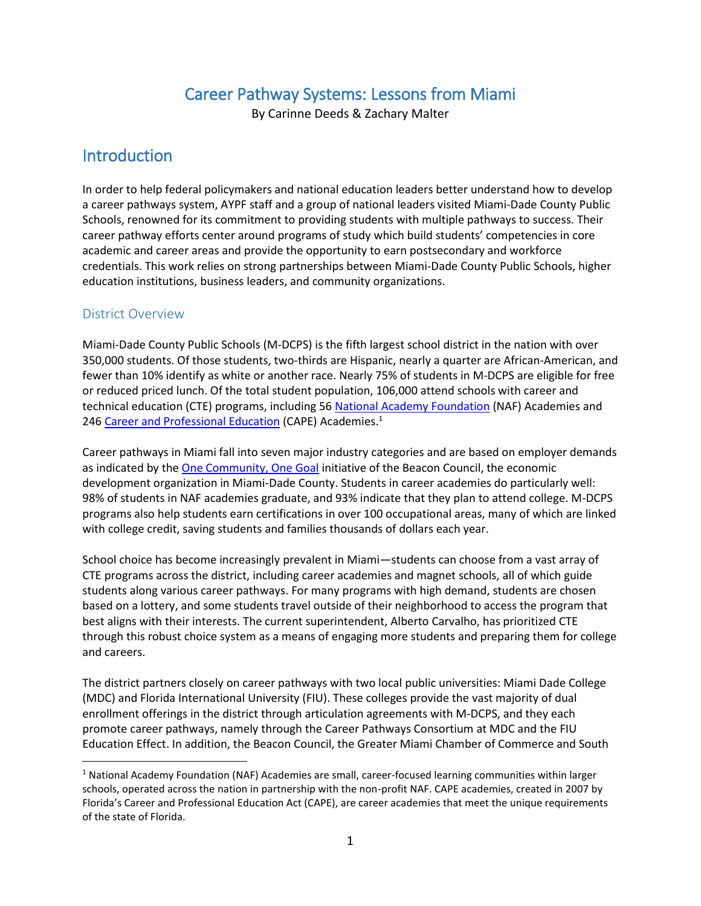## Career Pathway Systems: Lessons from Miami

By Carinne Deeds & Zachary Malter

## **Introduction**

In order to help federal policymakers and national education leaders better understand how to develop a career pathways system, AYPF staff and a group of national leaders visited Miami-Dade County Public Schools, renowned for its commitment to providing students with multiple pathways to success. Their career pathway efforts center around programs of study which build students' competencies in core academic and career areas and provide the opportunity to earn postsecondary and workforce credentials. This work relies on strong partnerships between Miami-Dade County Public Schools, higher education institutions, business leaders, and community organizations.

### District Overview

 $\overline{a}$ 

Miami-Dade County Public Schools (M-DCPS) is the fifth largest school district in the nation with over 350,000 students. Of those students, two-thirds are Hispanic, nearly a quarter are African-American, and fewer than 10% identify as white or another race. Nearly 75% of students in M-DCPS are eligible for free or reduced priced lunch. Of the total student population, 106,000 attend schools with career and technical education (CTE) programs, including 5[6 National Academy Foundation](http://naf.org/) (NAF) Academies and 246 [Career and Professional Education](http://www.fldoe.org/academics/career-adult-edu/cape-secondary/resources.stml) (CAPE) Academies.<sup>1</sup>

Career pathways in Miami fall into seven major industry categories and are based on employer demands as indicated by th[e One Community, One Goal](http://www.beaconcouncil.com/what-we-do/one-community-one-goal) initiative of the Beacon Council, the economic development organization in Miami-Dade County. Students in career academies do particularly well: 98% of students in NAF academies graduate, and 93% indicate that they plan to attend college. M-DCPS programs also help students earn certifications in over 100 occupational areas, many of which are linked with college credit, saving students and families thousands of dollars each year.

School choice has become increasingly prevalent in Miami—students can choose from a vast array of CTE programs across the district, including career academies and magnet schools, all of which guide students along various career pathways. For many programs with high demand, students are chosen based on a lottery, and some students travel outside of their neighborhood to access the program that best aligns with their interests. The current superintendent, Alberto Carvalho, has prioritized CTE through this robust choice system as a means of engaging more students and preparing them for college and careers.

The district partners closely on career pathways with two local public universities: Miami Dade College (MDC) and Florida International University (FIU). These colleges provide the vast majority of dual enrollment offerings in the district through articulation agreements with M-DCPS, and they each promote career pathways, namely through the Career Pathways Consortium at MDC and the FIU Education Effect. In addition, the Beacon Council, the Greater Miami Chamber of Commerce and South

<sup>1</sup> National Academy Foundation (NAF) Academies are small, career-focused learning communities within larger schools, operated across the nation in partnership with the non-profit NAF. CAPE academies, created in 2007 by Florida's Career and Professional Education Act (CAPE), are career academies that meet the unique requirements of the state of Florida.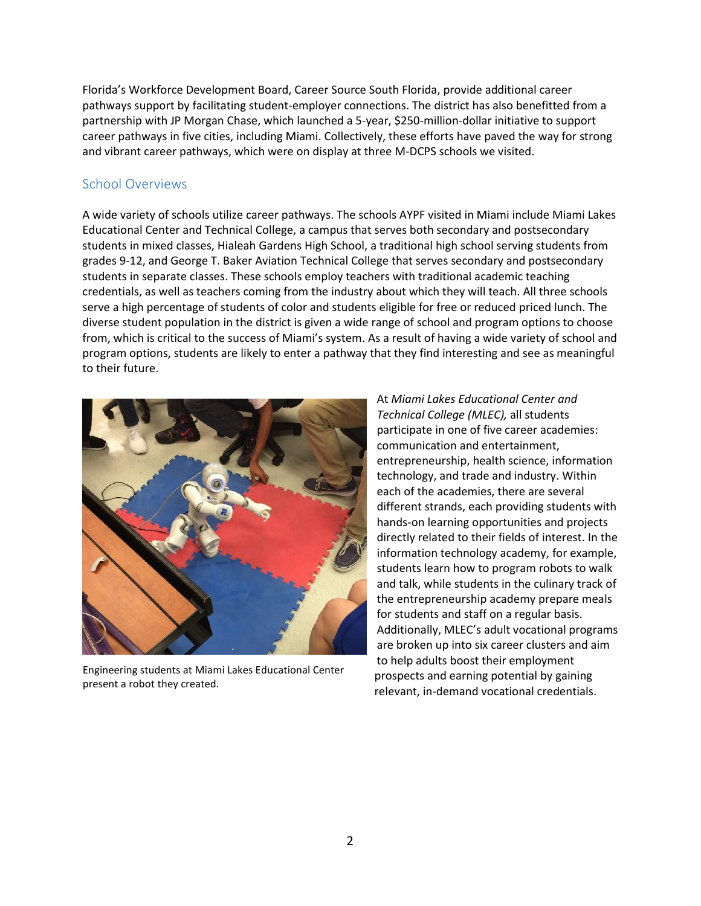Florida's Workforce Development Board, Career Source South Florida, provide additional career pathways support by facilitating student-employer connections. The district has also benefitted from a partnership with JP Morgan Chase, which launched a 5-year, \$250-million-dollar initiative to support career pathways in five cities, including Miami. Collectively, these efforts have paved the way for strong and vibrant career pathways, which were on display at three M-DCPS schools we visited.

#### School Overviews

A wide variety of schools utilize career pathways. The schools AYPF visited in Miami include Miami Lakes Educational Center and Technical College, a campus that serves both secondary and postsecondary students in mixed classes, Hialeah Gardens High School, a traditional high school serving students from grades 9-12, and George T. Baker Aviation Technical College that serves secondary and postsecondary students in separate classes. These schools employ teachers with traditional academic teaching credentials, as well as teachers coming from the industry about which they will teach. All three schools serve a high percentage of students of color and students eligible for free or reduced priced lunch. The diverse student population in the district is given a wide range of school and program options to choose from, which is critical to the success of Miami's system. As a result of having a wide variety of school and program options, students are likely to enter a pathway that they find interesting and see as meaningful to their future.



Engineering students at Miami Lakes Educational Center present a robot they created.

At *Miami Lakes Educational Center and Technical College (MLEC),* all students participate in one of five career academies: communication and entertainment, entrepreneurship, health science, information technology, and trade and industry. Within each of the academies, there are several different strands, each providing students with hands-on learning opportunities and projects directly related to their fields of interest. In the information technology academy, for example, students learn how to program robots to walk and talk, while students in the culinary track of the entrepreneurship academy prepare meals for students and staff on a regular basis. Additionally, MLEC's adult vocational programs are broken up into six career clusters and aim to help adults boost their employment prospects and earning potential by gaining relevant, in-demand vocational credentials.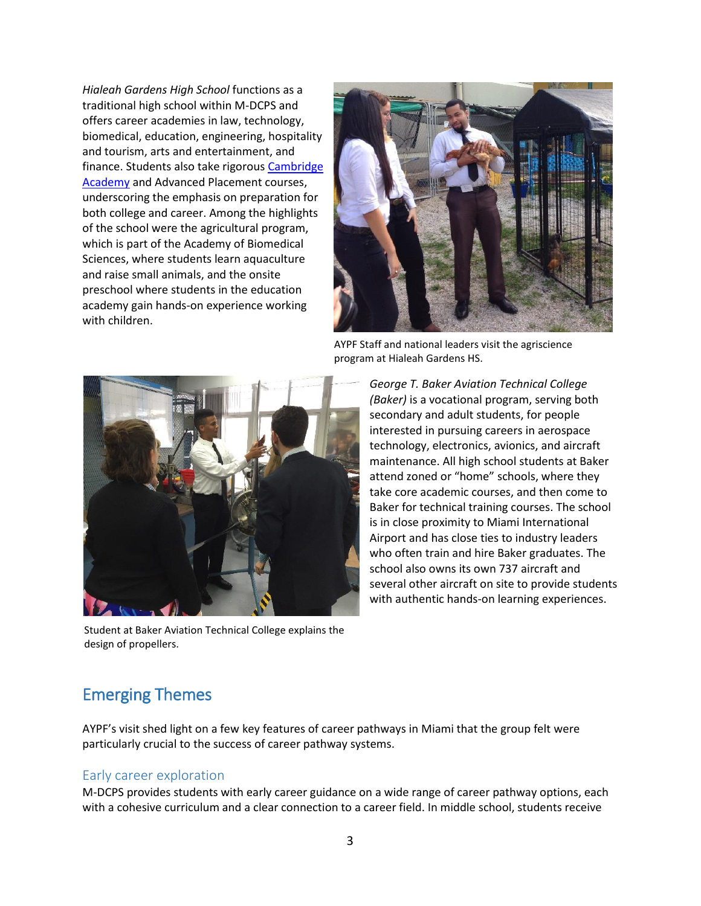*Hialeah Gardens High School* functions as a traditional high school within M-DCPS and offers career academies in law, technology, biomedical, education, engineering, hospitality and tourism, arts and entertainment, and finance. Students also take rigorous [Cambridge](http://hghsgladiators.com/index.php/academics/advanced-academics/cambridge-academy)  **[Academy](http://hghsgladiators.com/index.php/academics/advanced-academics/cambridge-academy)** and Advanced Placement courses, underscoring the emphasis on preparation for both college and career. Among the highlights of the school were the agricultural program, which is part of the Academy of Biomedical Sciences, where students learn aquaculture and raise small animals, and the onsite preschool where students in the education academy gain hands-on experience working with children.



AYPF Staff and national leaders visit the agriscience program at Hialeah Gardens HS.



Student at Baker Aviation Technical College explains the design of propellers.

*George T. Baker Aviation Technical College (Baker)* is a vocational program, serving both secondary and adult students, for people interested in pursuing careers in aerospace technology, electronics, avionics, and aircraft maintenance. All high school students at Baker attend zoned or "home" schools, where they take core academic courses, and then come to Baker for technical training courses. The school is in close proximity to Miami International Airport and has close ties to industry leaders who often train and hire Baker graduates. The school also owns its own 737 aircraft and several other aircraft on site to provide students with authentic hands-on learning experiences.

# Emerging Themes

AYPF's visit shed light on a few key features of career pathways in Miami that the group felt were particularly crucial to the success of career pathway systems.

#### Early career exploration

M-DCPS provides students with early career guidance on a wide range of career pathway options, each with a cohesive curriculum and a clear connection to a career field. In middle school, students receive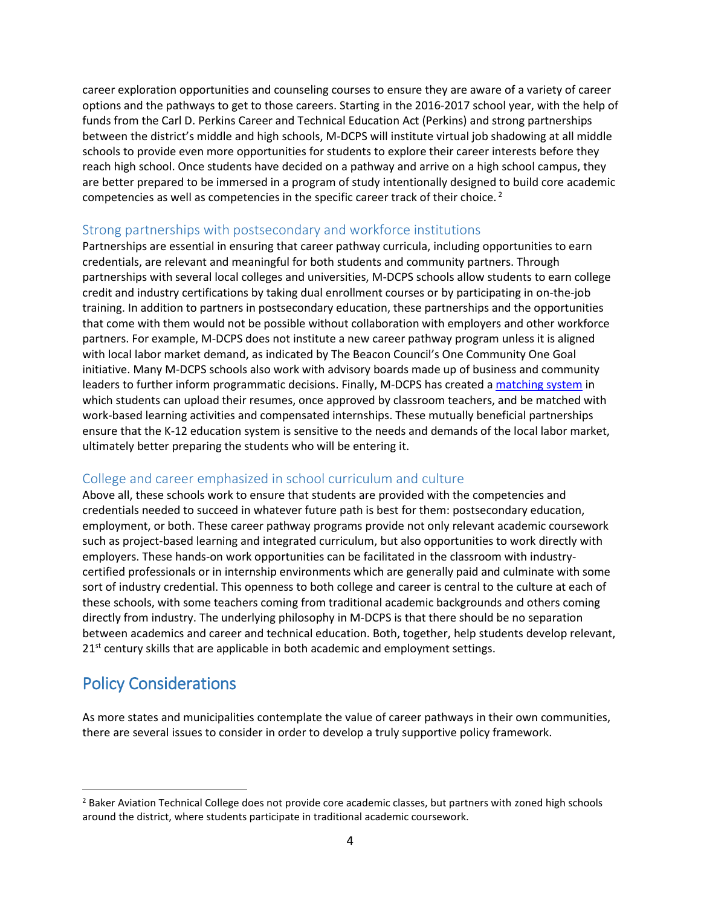career exploration opportunities and counseling courses to ensure they are aware of a variety of career options and the pathways to get to those careers. Starting in the 2016-2017 school year, with the help of funds from the Carl D. Perkins Career and Technical Education Act (Perkins) and strong partnerships between the district's middle and high schools, M-DCPS will institute virtual job shadowing at all middle schools to provide even more opportunities for students to explore their career interests before they reach high school. Once students have decided on a pathway and arrive on a high school campus, they are better prepared to be immersed in a program of study intentionally designed to build core academic competencies as well as competencies in the specific career track of their choice. <sup>2</sup>

#### Strong partnerships with postsecondary and workforce institutions

Partnerships are essential in ensuring that career pathway curricula, including opportunities to earn credentials, are relevant and meaningful for both students and community partners. Through partnerships with several local colleges and universities, M-DCPS schools allow students to earn college credit and industry certifications by taking dual enrollment courses or by participating in on-the-job training. In addition to partners in postsecondary education, these partnerships and the opportunities that come with them would not be possible without collaboration with employers and other workforce partners. For example, M-DCPS does not institute a new career pathway program unless it is aligned with local labor market demand, as indicated by The Beacon Council's One Community One Goal initiative. Many M-DCPS schools also work with advisory boards made up of business and community leaders to further inform programmatic decisions. Finally, M-DCPS has created a [matching system](https://miami.getmyinterns.org/) in which students can upload their resumes, once approved by classroom teachers, and be matched with work-based learning activities and compensated internships. These mutually beneficial partnerships ensure that the K-12 education system is sensitive to the needs and demands of the local labor market, ultimately better preparing the students who will be entering it.

### College and career emphasized in school curriculum and culture

Above all, these schools work to ensure that students are provided with the competencies and credentials needed to succeed in whatever future path is best for them: postsecondary education, employment, or both. These career pathway programs provide not only relevant academic coursework such as project-based learning and integrated curriculum, but also opportunities to work directly with employers. These hands-on work opportunities can be facilitated in the classroom with industrycertified professionals or in internship environments which are generally paid and culminate with some sort of industry credential. This openness to both college and career is central to the culture at each of these schools, with some teachers coming from traditional academic backgrounds and others coming directly from industry. The underlying philosophy in M-DCPS is that there should be no separation between academics and career and technical education. Both, together, help students develop relevant,  $21<sup>st</sup>$  century skills that are applicable in both academic and employment settings.

# Policy Considerations

 $\overline{a}$ 

As more states and municipalities contemplate the value of career pathways in their own communities, there are several issues to consider in order to develop a truly supportive policy framework.

<sup>&</sup>lt;sup>2</sup> Baker Aviation Technical College does not provide core academic classes, but partners with zoned high schools around the district, where students participate in traditional academic coursework.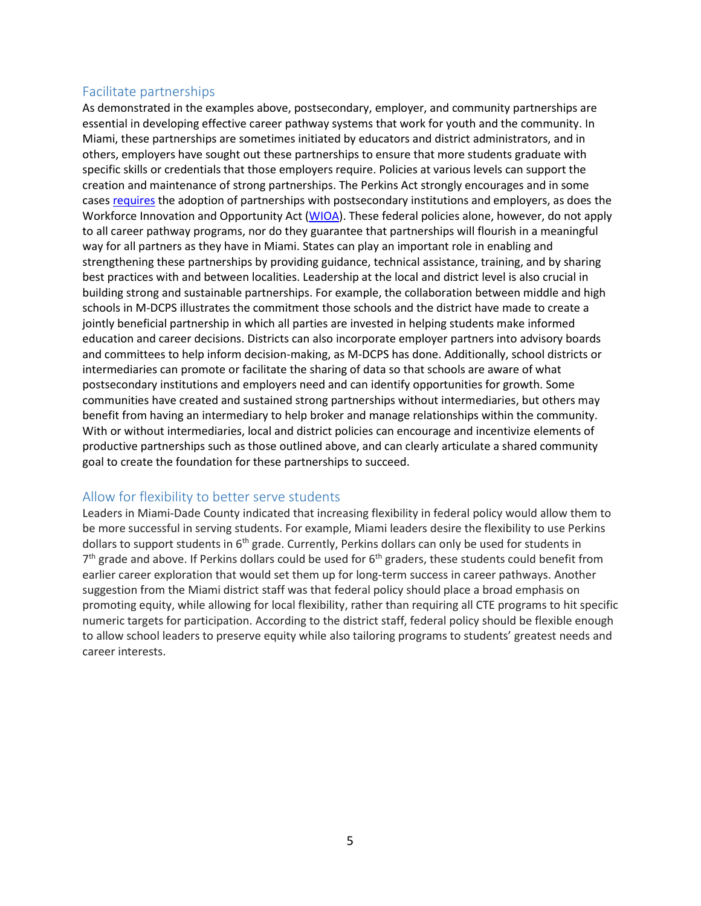### Facilitate partnerships

As demonstrated in the examples above, postsecondary, employer, and community partnerships are essential in developing effective career pathway systems that work for youth and the community. In Miami, these partnerships are sometimes initiated by educators and district administrators, and in others, employers have sought out these partnerships to ensure that more students graduate with specific skills or credentials that those employers require. Policies at various levels can support the creation and maintenance of strong partnerships. The Perkins Act strongly encourages and in some case[s requires](http://cte.ed.gov/initiatives/programs-of-study) the adoption of partnerships with postsecondary institutions and employers, as does the Workforce Innovation and Opportunity Act [\(WIOA\)](http://www.nationalskillscoalition.org/resources/publications/file/2015-10-National-Skills-Coalition-Recommendations-Carl-D-Perkins-Career-and-Technical-Education-Act-FINAL-1.pdf). These federal policies alone, however, do not apply to all career pathway programs, nor do they guarantee that partnerships will flourish in a meaningful way for all partners as they have in Miami. States can play an important role in enabling and strengthening these partnerships by providing guidance, technical assistance, training, and by sharing best practices with and between localities. Leadership at the local and district level is also crucial in building strong and sustainable partnerships. For example, the collaboration between middle and high schools in M-DCPS illustrates the commitment those schools and the district have made to create a jointly beneficial partnership in which all parties are invested in helping students make informed education and career decisions. Districts can also incorporate employer partners into advisory boards and committees to help inform decision-making, as M-DCPS has done. Additionally, school districts or intermediaries can promote or facilitate the sharing of data so that schools are aware of what postsecondary institutions and employers need and can identify opportunities for growth. Some communities have created and sustained strong partnerships without intermediaries, but others may benefit from having an intermediary to help broker and manage relationships within the community. With or without intermediaries, local and district policies can encourage and incentivize elements of productive partnerships such as those outlined above, and can clearly articulate a shared community goal to create the foundation for these partnerships to succeed.

#### Allow for flexibility to better serve students

Leaders in Miami-Dade County indicated that increasing flexibility in federal policy would allow them to be more successful in serving students. For example, Miami leaders desire the flexibility to use Perkins dollars to support students in 6<sup>th</sup> grade. Currently, Perkins dollars can only be used for students in  $7<sup>th</sup>$  grade and above. If Perkins dollars could be used for  $6<sup>th</sup>$  graders, these students could benefit from earlier career exploration that would set them up for long-term success in career pathways. Another suggestion from the Miami district staff was that federal policy should place a broad emphasis on promoting equity, while allowing for local flexibility, rather than requiring all CTE programs to hit specific numeric targets for participation. According to the district staff, federal policy should be flexible enough to allow school leaders to preserve equity while also tailoring programs to students' greatest needs and career interests.